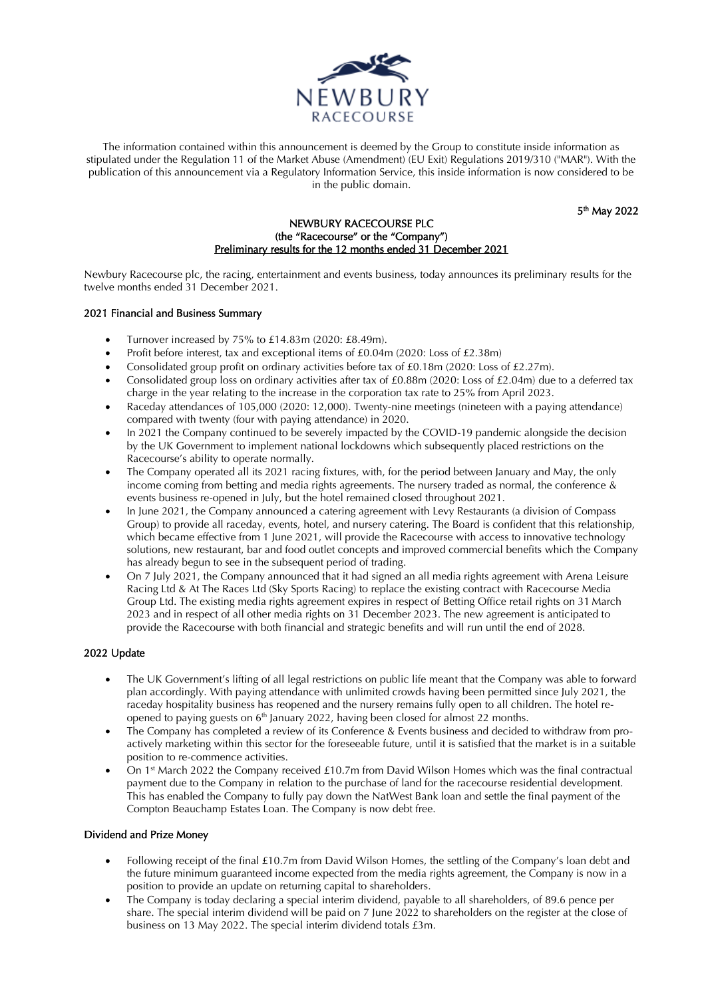

The information contained within this announcement is deemed by the Group to constitute inside information as stipulated under the Regulation 11 of the Market Abuse (Amendment) (EU Exit) Regulations 2019/310 ("MAR"). With the publication of this announcement via a Regulatory Information Service, this inside information is now considered to be in the public domain.

5<sup>th</sup> May 2022

### NEWBURY RACECOURSE PLC (the "Racecourse" or the "Company") Preliminary results for the 12 months ended 31 December 2021

Newbury Racecourse plc, the racing, entertainment and events business, today announces its preliminary results for the twelve months ended 31 December 2021.

### 2021 Financial and Business Summary

- Turnover increased by 75% to £14.83m (2020: £8.49m).
- Profit before interest, tax and exceptional items of £0.04m (2020: Loss of £2.38m)
- Consolidated group profit on ordinary activities before tax of £0.18m (2020: Loss of £2.27m).
- Consolidated group loss on ordinary activities after tax of £0.88m (2020: Loss of £2.04m) due to a deferred tax charge in the year relating to the increase in the corporation tax rate to 25% from April 2023.
- Raceday attendances of 105,000 (2020: 12,000). Twenty-nine meetings (nineteen with a paying attendance) compared with twenty (four with paying attendance) in 2020.
- In 2021 the Company continued to be severely impacted by the COVID-19 pandemic alongside the decision by the UK Government to implement national lockdowns which subsequently placed restrictions on the Racecourse's ability to operate normally.
- The Company operated all its 2021 racing fixtures, with, for the period between January and May, the only income coming from betting and media rights agreements. The nursery traded as normal, the conference & events business re-opened in July, but the hotel remained closed throughout 2021.
- In June 2021, the Company announced a catering agreement with Levy Restaurants (a division of Compass Group) to provide all raceday, events, hotel, and nursery catering. The Board is confident that this relationship, which became effective from 1 June 2021, will provide the Racecourse with access to innovative technology solutions, new restaurant, bar and food outlet concepts and improved commercial benefits which the Company has already begun to see in the subsequent period of trading.
- On 7 July 2021, the Company announced that it had signed an all media rights agreement with Arena Leisure Racing Ltd & At The Races Ltd (Sky Sports Racing) to replace the existing contract with Racecourse Media Group Ltd. The existing media rights agreement expires in respect of Betting Office retail rights on 31 March 2023 and in respect of all other media rights on 31 December 2023. The new agreement is anticipated to provide the Racecourse with both financial and strategic benefits and will run until the end of 2028.

### 2022 Update

- The UK Government's lifting of all legal restrictions on public life meant that the Company was able to forward plan accordingly. With paying attendance with unlimited crowds having been permitted since July 2021, the raceday hospitality business has reopened and the nursery remains fully open to all children. The hotel reopened to paying guests on  $6<sup>th</sup>$  January 2022, having been closed for almost 22 months.
- The Company has completed a review of its Conference & Events business and decided to withdraw from proactively marketing within this sector for the foreseeable future, until it is satisfied that the market is in a suitable position to re-commence activities.
- On 1st March 2022 the Company received £10.7m from David Wilson Homes which was the final contractual payment due to the Company in relation to the purchase of land for the racecourse residential development. This has enabled the Company to fully pay down the NatWest Bank loan and settle the final payment of the Compton Beauchamp Estates Loan. The Company is now debt free.

### Dividend and Prize Money

- Following receipt of the final £10.7m from David Wilson Homes, the settling of the Company's loan debt and the future minimum guaranteed income expected from the media rights agreement, the Company is now in a position to provide an update on returning capital to shareholders.
- The Company is today declaring a special interim dividend, payable to all shareholders, of 89.6 pence per share. The special interim dividend will be paid on 7 June 2022 to shareholders on the register at the close of business on 13 May 2022. The special interim dividend totals £3m.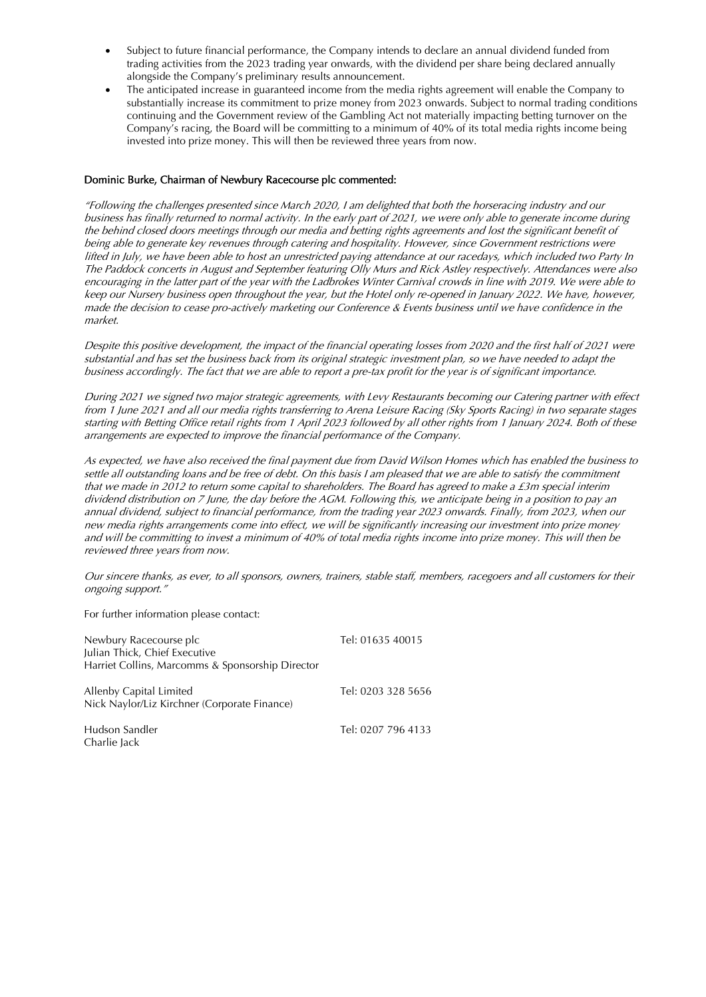- Subject to future financial performance, the Company intends to declare an annual dividend funded from trading activities from the 2023 trading year onwards, with the dividend per share being declared annually alongside the Company's preliminary results announcement.
- The anticipated increase in guaranteed income from the media rights agreement will enable the Company to substantially increase its commitment to prize money from 2023 onwards. Subject to normal trading conditions continuing and the Government review of the Gambling Act not materially impacting betting turnover on the Company's racing, the Board will be committing to a minimum of 40% of its total media rights income being invested into prize money. This will then be reviewed three years from now.

### Dominic Burke, Chairman of Newbury Racecourse plc commented:

"Following the challenges presented since March 2020, I am delighted that both the horseracing industry and our business has finally returned to normal activity. In the early part of 2021, we were only able to generate income during the behind closed doors meetings through our media and betting rights agreements and lost the significant benefit of being able to generate key revenues through catering and hospitality. However, since Government restrictions were lifted in July, we have been able to host an unrestricted paying attendance at our racedays, which included two Party In The Paddock concerts in August and September featuring Olly Murs and Rick Astley respectively. Attendances were also encouraging in the latter part of the year with the Ladbrokes Winter Carnival crowds in line with 2019. We were able to keep our Nursery business open throughout the year, but the Hotel only re-opened in January 2022. We have, however, made the decision to cease pro-actively marketing our Conference & Events business until we have confidence in the market.

Despite this positive development, the impact of the financial operating losses from 2020 and the first half of 2021 were substantial and has set the business back from its original strategic investment plan, so we have needed to adapt the business accordingly. The fact that we are able to report a pre-tax profit for the year is of significant importance.

During 2021 we signed two major strategic agreements, with Levy Restaurants becoming our Catering partner with effect from 1 June 2021 and all our media rights transferring to Arena Leisure Racing (Sky Sports Racing) in two separate stages starting with Betting Office retail rights from 1 April 2023 followed by all other rights from 1 January 2024. Both of these arrangements are expected to improve the financial performance of the Company.

As expected, we have also received the final payment due from David Wilson Homes which has enabled the business to settle all outstanding loans and be free of debt. On this basis I am pleased that we are able to satisfy the commitment that we made in 2012 to return some capital to shareholders. The Board has agreed to make a £3m special interim dividend distribution on 7 June, the day before the AGM. Following this, we anticipate being in a position to pay an annual dividend, subject to financial performance, from the trading year 2023 onwards. Finally, from 2023, when our new media rights arrangements come into effect, we will be significantly increasing our investment into prize money and will be committing to invest a minimum of 40% of total media rights income into prize money. This will then be reviewed three years from now.

Our sincere thanks, as ever, to all sponsors, owners, trainers, stable staff, members, racegoers and all customers for their ongoing support."

For further information please contact:

| Newbury Racecourse plc<br>Julian Thick, Chief Executive<br>Harriet Collins, Marcomms & Sponsorship Director | Tel: 01635 40015   |
|-------------------------------------------------------------------------------------------------------------|--------------------|
| Allenby Capital Limited<br>Nick Naylor/Liz Kirchner (Corporate Finance)                                     | Tel: 0203 328 5656 |
| Hudson Sandler<br>Charlie Jack                                                                              | Tel: 0207 796 4133 |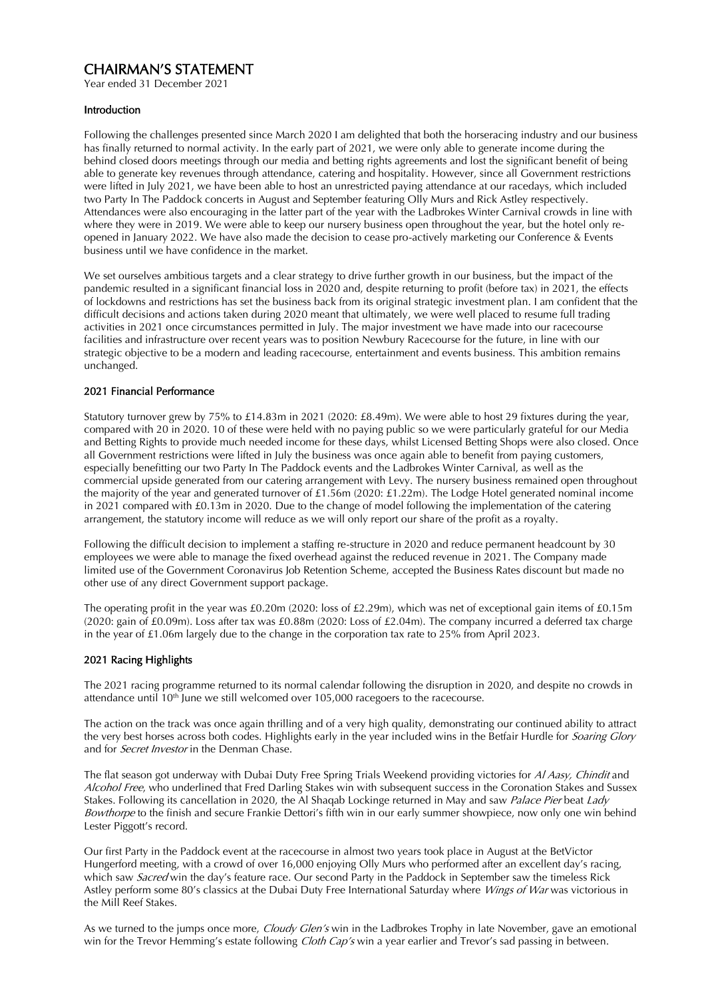# CHAIRMAN'S STATEMENT

Year ended 31 December 2021

### Introduction

Following the challenges presented since March 2020 I am delighted that both the horseracing industry and our business has finally returned to normal activity. In the early part of 2021, we were only able to generate income during the behind closed doors meetings through our media and betting rights agreements and lost the significant benefit of being able to generate key revenues through attendance, catering and hospitality. However, since all Government restrictions were lifted in July 2021, we have been able to host an unrestricted paying attendance at our racedays, which included two Party In The Paddock concerts in August and September featuring Olly Murs and Rick Astley respectively. Attendances were also encouraging in the latter part of the year with the Ladbrokes Winter Carnival crowds in line with where they were in 2019. We were able to keep our nursery business open throughout the year, but the hotel only reopened in January 2022. We have also made the decision to cease pro-actively marketing our Conference & Events business until we have confidence in the market.

We set ourselves ambitious targets and a clear strategy to drive further growth in our business, but the impact of the pandemic resulted in a significant financial loss in 2020 and, despite returning to profit (before tax) in 2021, the effects of lockdowns and restrictions has set the business back from its original strategic investment plan. I am confident that the difficult decisions and actions taken during 2020 meant that ultimately, we were well placed to resume full trading activities in 2021 once circumstances permitted in July. The major investment we have made into our racecourse facilities and infrastructure over recent years was to position Newbury Racecourse for the future, in line with our strategic objective to be a modern and leading racecourse, entertainment and events business. This ambition remains unchanged.

### 2021 Financial Performance

Statutory turnover grew by 75% to £14.83m in 2021 (2020: £8.49m). We were able to host 29 fixtures during the year, compared with 20 in 2020. 10 of these were held with no paying public so we were particularly grateful for our Media and Betting Rights to provide much needed income for these days, whilst Licensed Betting Shops were also closed. Once all Government restrictions were lifted in July the business was once again able to benefit from paying customers, especially benefitting our two Party In The Paddock events and the Ladbrokes Winter Carnival, as well as the commercial upside generated from our catering arrangement with Levy. The nursery business remained open throughout the majority of the year and generated turnover of £1.56m (2020: £1.22m). The Lodge Hotel generated nominal income in 2021 compared with £0.13m in 2020. Due to the change of model following the implementation of the catering arrangement, the statutory income will reduce as we will only report our share of the profit as a royalty.

Following the difficult decision to implement a staffing re-structure in 2020 and reduce permanent headcount by 30 employees we were able to manage the fixed overhead against the reduced revenue in 2021. The Company made limited use of the Government Coronavirus Job Retention Scheme, accepted the Business Rates discount but made no other use of any direct Government support package.

The operating profit in the year was £0.20m (2020: loss of £2.29m), which was net of exceptional gain items of £0.15m (2020: gain of £0.09m). Loss after tax was £0.88m (2020: Loss of £2.04m). The company incurred a deferred tax charge in the year of £1.06m largely due to the change in the corporation tax rate to 25% from April 2023.

### 2021 Racing Highlights

The 2021 racing programme returned to its normal calendar following the disruption in 2020, and despite no crowds in attendance until  $10<sup>th</sup>$  June we still welcomed over 105,000 racegoers to the racecourse.

The action on the track was once again thrilling and of a very high quality, demonstrating our continued ability to attract the very best horses across both codes. Highlights early in the year included wins in the Betfair Hurdle for *Soaring Glory* and for *Secret Investor* in the Denman Chase.

The flat season got underway with Dubai Duty Free Spring Trials Weekend providing victories for Al Aasy, Chindit and Alcohol Free, who underlined that Fred Darling Stakes win with subsequent success in the Coronation Stakes and Sussex Stakes. Following its cancellation in 2020, the Al Shaqab Lockinge returned in May and saw *Palace Pier* beat *Lady* Bowthorpe to the finish and secure Frankie Dettori's fifth win in our early summer showpiece, now only one win behind Lester Piggott's record.

Our first Party in the Paddock event at the racecourse in almost two years took place in August at the BetVictor Hungerford meeting, with a crowd of over 16,000 enjoying Olly Murs who performed after an excellent day's racing, which saw *Sacred* win the day's feature race. Our second Party in the Paddock in September saw the timeless Rick Astley perform some 80's classics at the Dubai Duty Free International Saturday where Wings of War was victorious in the Mill Reef Stakes.

As we turned to the jumps once more, Cloudy Glen's win in the Ladbrokes Trophy in late November, gave an emotional win for the Trevor Hemming's estate following *Cloth Cap's* win a year earlier and Trevor's sad passing in between.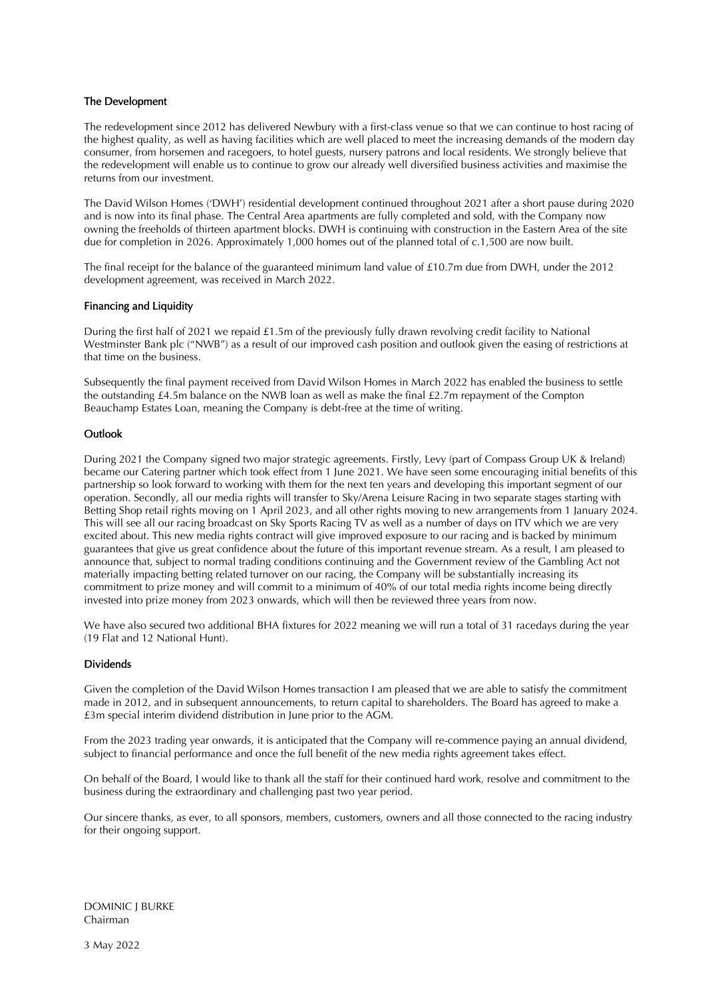### The Development

The redevelopment since 2012 has delivered Newbury with a first-class venue so that we can continue to host racing of the highest quality, as well as having facilities which are well placed to meet the increasing demands of the modern day consumer, from horsemen and racegoers, to hotel guests, nursery patrons and local residents. We strongly believe that the redevelopment will enable us to continue to grow our already well diversified business activities and maximise the returns from our investment.

The David Wilson Homes ('DWH') residential development continued throughout 2021 after a short pause during 2020 and is now into its final phase. The Central Area apartments are fully completed and sold, with the Company now owning the freeholds of thirteen apartment blocks. DWH is continuing with construction in the Eastern Area of the site due for completion in 2026. Approximately 1,000 homes out of the planned total of c.1,500 are now built.

The final receipt for the balance of the guaranteed minimum land value of £10.7m due from DWH, under the 2012 development agreement, was received in March 2022.

### Financing and Liquidity

During the first half of 2021 we repaid £1.5m of the previously fully drawn revolving credit facility to National Westminster Bank plc ("NWB") as a result of our improved cash position and outlook given the easing of restrictions at that time on the business.

Subsequently the final payment received from David Wilson Homes in March 2022 has enabled the business to settle the outstanding £4.5m balance on the NWB loan as well as make the final £2.7m repayment of the Compton Beauchamp Estates Loan, meaning the Company is debt-free at the time of writing.

### Outlook

During 2021 the Company signed two major strategic agreements. Firstly, Levy (part of Compass Group UK & Ireland) became our Catering partner which took effect from 1 June 2021. We have seen some encouraging initial benefits of this partnership so look forward to working with them for the next ten years and developing this important segment of our operation. Secondly, all our media rights will transfer to Sky/Arena Leisure Racing in two separate stages starting with Betting Shop retail rights moving on 1 April 2023, and all other rights moving to new arrangements from 1 January 2024. This will see all our racing broadcast on Sky Sports Racing TV as well as a number of days on ITV which we are very excited about. This new media rights contract will give improved exposure to our racing and is backed by minimum guarantees that give us great confidence about the future of this important revenue stream. As a result, I am pleased to announce that, subject to normal trading conditions continuing and the Government review of the Gambling Act not materially impacting betting related turnover on our racing, the Company will be substantially increasing its commitment to prize money and will commit to a minimum of 40% of our total media rights income being directly invested into prize money from 2023 onwards, which will then be reviewed three years from now.

We have also secured two additional BHA fixtures for 2022 meaning we will run a total of 31 racedays during the year (19 Flat and 12 National Hunt).

### Dividends

Given the completion of the David Wilson Homes transaction I am pleased that we are able to satisfy the commitment made in 2012, and in subsequent announcements, to return capital to shareholders. The Board has agreed to make a £3m special interim dividend distribution in June prior to the AGM.

From the 2023 trading year onwards, it is anticipated that the Company will re-commence paying an annual dividend, subject to financial performance and once the full benefit of the new media rights agreement takes effect.

On behalf of the Board, I would like to thank all the staff for their continued hard work, resolve and commitment to the business during the extraordinary and challenging past two year period.

Our sincere thanks, as ever, to all sponsors, members, customers, owners and all those connected to the racing industry for their ongoing support.

DOMINIC J BURKE Chairman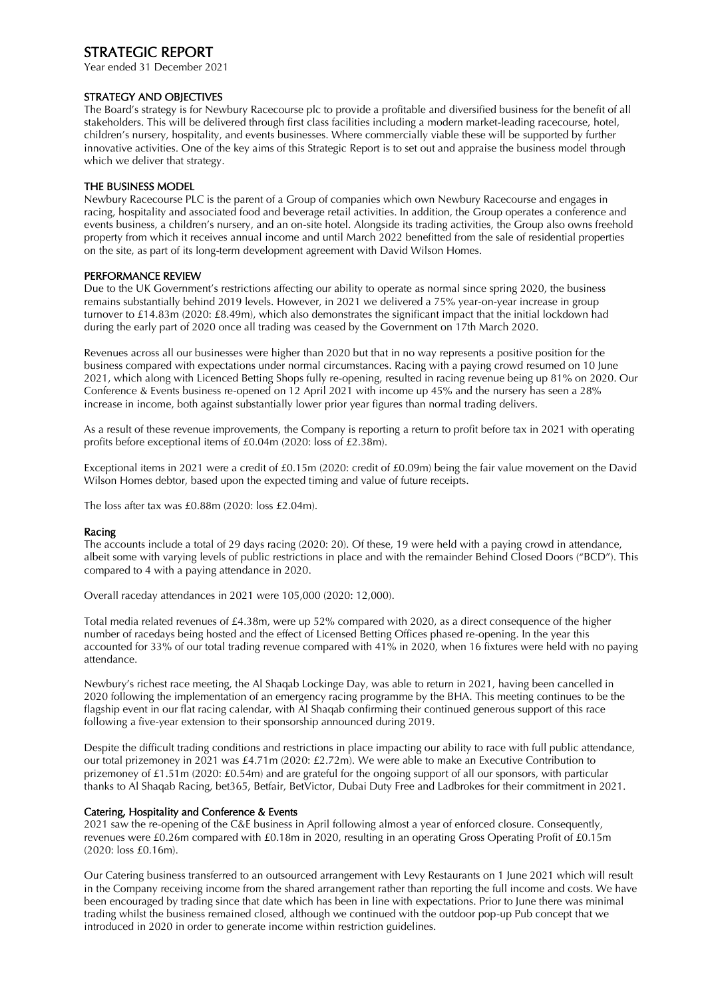# STRATEGIC REPORT

Year ended 31 December 2021

### STRATEGY AND OBJECTIVES

The Board's strategy is for Newbury Racecourse plc to provide a profitable and diversified business for the benefit of all stakeholders. This will be delivered through first class facilities including a modern market-leading racecourse, hotel, children's nursery, hospitality, and events businesses. Where commercially viable these will be supported by further innovative activities. One of the key aims of this Strategic Report is to set out and appraise the business model through which we deliver that strategy.

### THE BUSINESS MODEL

Newbury Racecourse PLC is the parent of a Group of companies which own Newbury Racecourse and engages in racing, hospitality and associated food and beverage retail activities. In addition, the Group operates a conference and events business, a children's nursery, and an on-site hotel. Alongside its trading activities, the Group also owns freehold property from which it receives annual income and until March 2022 benefitted from the sale of residential properties on the site, as part of its long-term development agreement with David Wilson Homes.

### PERFORMANCE REVIEW

Due to the UK Government's restrictions affecting our ability to operate as normal since spring 2020, the business remains substantially behind 2019 levels. However, in 2021 we delivered a 75% year-on-year increase in group turnover to £14.83m (2020: £8.49m), which also demonstrates the significant impact that the initial lockdown had during the early part of 2020 once all trading was ceased by the Government on 17th March 2020.

Revenues across all our businesses were higher than 2020 but that in no way represents a positive position for the business compared with expectations under normal circumstances. Racing with a paying crowd resumed on 10 June 2021, which along with Licenced Betting Shops fully re-opening, resulted in racing revenue being up 81% on 2020. Our Conference & Events business re-opened on 12 April 2021 with income up 45% and the nursery has seen a 28% increase in income, both against substantially lower prior year figures than normal trading delivers.

As a result of these revenue improvements, the Company is reporting a return to profit before tax in 2021 with operating profits before exceptional items of £0.04m (2020: loss of £2.38m).

Exceptional items in 2021 were a credit of £0.15m (2020: credit of £0.09m) being the fair value movement on the David Wilson Homes debtor, based upon the expected timing and value of future receipts.

The loss after tax was £0.88m (2020: loss £2.04m).

### Racing

The accounts include a total of 29 days racing (2020: 20). Of these, 19 were held with a paying crowd in attendance, albeit some with varying levels of public restrictions in place and with the remainder Behind Closed Doors ("BCD"). This compared to 4 with a paying attendance in 2020.

Overall raceday attendances in 2021 were 105,000 (2020: 12,000).

Total media related revenues of £4.38m, were up 52% compared with 2020, as a direct consequence of the higher number of racedays being hosted and the effect of Licensed Betting Offices phased re-opening. In the year this accounted for 33% of our total trading revenue compared with 41% in 2020, when 16 fixtures were held with no paying attendance.

Newbury's richest race meeting, the Al Shaqab Lockinge Day, was able to return in 2021, having been cancelled in 2020 following the implementation of an emergency racing programme by the BHA. This meeting continues to be the flagship event in our flat racing calendar, with Al Shaqab confirming their continued generous support of this race following a five-year extension to their sponsorship announced during 2019.

Despite the difficult trading conditions and restrictions in place impacting our ability to race with full public attendance, our total prizemoney in 2021 was £4.71m (2020: £2.72m). We were able to make an Executive Contribution to prizemoney of £1.51m (2020: £0.54m) and are grateful for the ongoing support of all our sponsors, with particular thanks to Al Shaqab Racing, bet365, Betfair, BetVictor, Dubai Duty Free and Ladbrokes for their commitment in 2021.

### Catering, Hospitality and Conference & Events

2021 saw the re-opening of the C&E business in April following almost a year of enforced closure. Consequently, revenues were £0.26m compared with £0.18m in 2020, resulting in an operating Gross Operating Profit of £0.15m (2020: loss £0.16m).

Our Catering business transferred to an outsourced arrangement with Levy Restaurants on 1 June 2021 which will result in the Company receiving income from the shared arrangement rather than reporting the full income and costs. We have been encouraged by trading since that date which has been in line with expectations. Prior to June there was minimal trading whilst the business remained closed, although we continued with the outdoor pop-up Pub concept that we introduced in 2020 in order to generate income within restriction guidelines.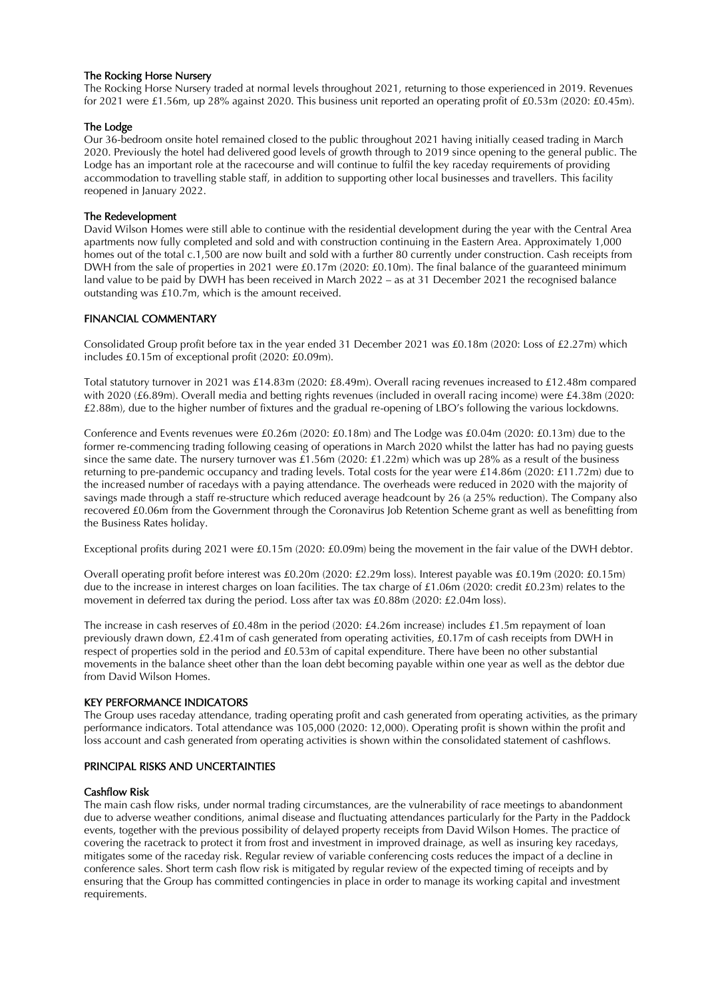### The Rocking Horse Nursery

The Rocking Horse Nursery traded at normal levels throughout 2021, returning to those experienced in 2019. Revenues for 2021 were £1.56m, up 28% against 2020. This business unit reported an operating profit of £0.53m (2020: £0.45m).

### The Lodge

Our 36-bedroom onsite hotel remained closed to the public throughout 2021 having initially ceased trading in March 2020. Previously the hotel had delivered good levels of growth through to 2019 since opening to the general public. The Lodge has an important role at the racecourse and will continue to fulfil the key raceday requirements of providing accommodation to travelling stable staff, in addition to supporting other local businesses and travellers. This facility reopened in January 2022.

### The Redevelopment

David Wilson Homes were still able to continue with the residential development during the year with the Central Area apartments now fully completed and sold and with construction continuing in the Eastern Area. Approximately 1,000 homes out of the total c.1,500 are now built and sold with a further 80 currently under construction. Cash receipts from DWH from the sale of properties in 2021 were £0.17m (2020: £0.10m). The final balance of the guaranteed minimum land value to be paid by DWH has been received in March 2022 – as at 31 December 2021 the recognised balance outstanding was £10.7m, which is the amount received.

### FINANCIAL COMMENTARY

Consolidated Group profit before tax in the year ended 31 December 2021 was £0.18m (2020: Loss of £2.27m) which includes £0.15m of exceptional profit (2020: £0.09m).

Total statutory turnover in 2021 was £14.83m (2020: £8.49m). Overall racing revenues increased to £12.48m compared with 2020 (£6.89m). Overall media and betting rights revenues (included in overall racing income) were £4.38m (2020: £2.88m), due to the higher number of fixtures and the gradual re-opening of LBO's following the various lockdowns.

Conference and Events revenues were £0.26m (2020: £0.18m) and The Lodge was £0.04m (2020: £0.13m) due to the former re-commencing trading following ceasing of operations in March 2020 whilst the latter has had no paying guests since the same date. The nursery turnover was £1.56m (2020: £1.22m) which was up 28% as a result of the business returning to pre-pandemic occupancy and trading levels. Total costs for the year were £14.86m (2020: £11.72m) due to the increased number of racedays with a paying attendance. The overheads were reduced in 2020 with the majority of savings made through a staff re-structure which reduced average headcount by 26 (a 25% reduction). The Company also recovered £0.06m from the Government through the Coronavirus Job Retention Scheme grant as well as benefitting from the Business Rates holiday.

Exceptional profits during 2021 were £0.15m (2020: £0.09m) being the movement in the fair value of the DWH debtor.

Overall operating profit before interest was £0.20m (2020: £2.29m loss). Interest payable was £0.19m (2020: £0.15m) due to the increase in interest charges on loan facilities. The tax charge of £1.06m (2020: credit £0.23m) relates to the movement in deferred tax during the period. Loss after tax was £0.88m (2020: £2.04m loss).

The increase in cash reserves of £0.48m in the period (2020: £4.26m increase) includes £1.5m repayment of loan previously drawn down, £2.41m of cash generated from operating activities, £0.17m of cash receipts from DWH in respect of properties sold in the period and £0.53m of capital expenditure. There have been no other substantial movements in the balance sheet other than the loan debt becoming payable within one year as well as the debtor due from David Wilson Homes.

### KEY PERFORMANCE INDICATORS

The Group uses raceday attendance, trading operating profit and cash generated from operating activities, as the primary performance indicators. Total attendance was 105,000 (2020: 12,000). Operating profit is shown within the profit and loss account and cash generated from operating activities is shown within the consolidated statement of cashflows.

### PRINCIPAL RISKS AND UNCERTAINTIES

### Cashflow Risk

The main cash flow risks, under normal trading circumstances, are the vulnerability of race meetings to abandonment due to adverse weather conditions, animal disease and fluctuating attendances particularly for the Party in the Paddock events, together with the previous possibility of delayed property receipts from David Wilson Homes. The practice of covering the racetrack to protect it from frost and investment in improved drainage, as well as insuring key racedays, mitigates some of the raceday risk. Regular review of variable conferencing costs reduces the impact of a decline in conference sales. Short term cash flow risk is mitigated by regular review of the expected timing of receipts and by ensuring that the Group has committed contingencies in place in order to manage its working capital and investment requirements.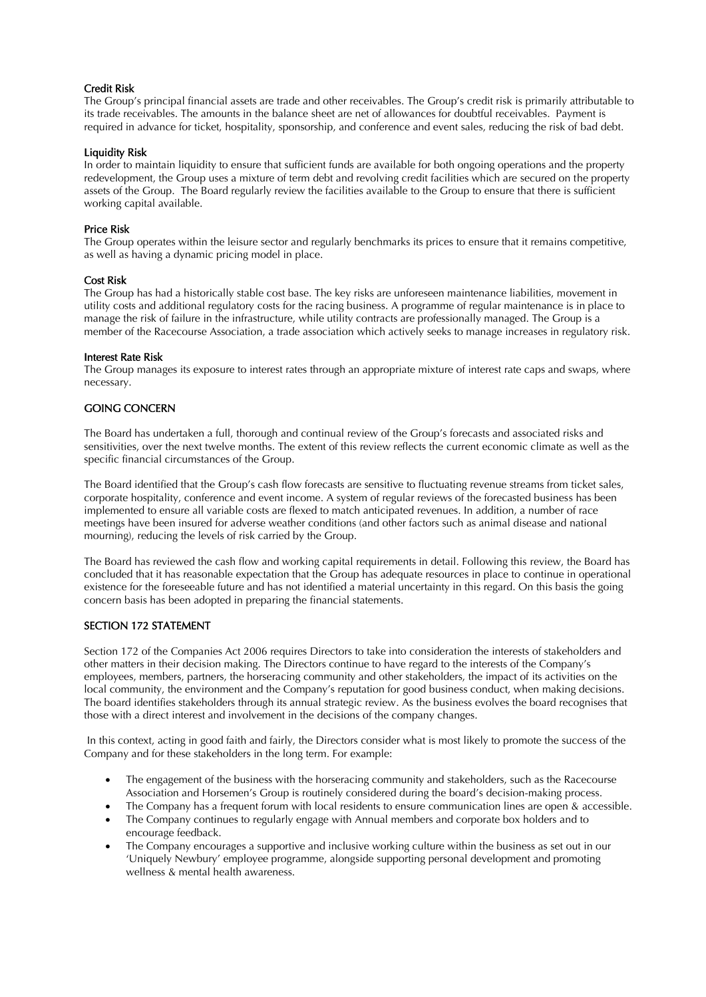### Credit Risk

The Group's principal financial assets are trade and other receivables. The Group's credit risk is primarily attributable to its trade receivables. The amounts in the balance sheet are net of allowances for doubtful receivables. Payment is required in advance for ticket, hospitality, sponsorship, and conference and event sales, reducing the risk of bad debt.

### Liquidity Risk

In order to maintain liquidity to ensure that sufficient funds are available for both ongoing operations and the property redevelopment, the Group uses a mixture of term debt and revolving credit facilities which are secured on the property assets of the Group. The Board regularly review the facilities available to the Group to ensure that there is sufficient working capital available.

### Price Risk

The Group operates within the leisure sector and regularly benchmarks its prices to ensure that it remains competitive, as well as having a dynamic pricing model in place.

### Cost Risk

The Group has had a historically stable cost base. The key risks are unforeseen maintenance liabilities, movement in utility costs and additional regulatory costs for the racing business. A programme of regular maintenance is in place to manage the risk of failure in the infrastructure, while utility contracts are professionally managed. The Group is a member of the Racecourse Association, a trade association which actively seeks to manage increases in regulatory risk.

### Interest Rate Risk

The Group manages its exposure to interest rates through an appropriate mixture of interest rate caps and swaps, where necessary.

# GOING CONCERN

The Board has undertaken a full, thorough and continual review of the Group's forecasts and associated risks and sensitivities, over the next twelve months. The extent of this review reflects the current economic climate as well as the specific financial circumstances of the Group.

The Board identified that the Group's cash flow forecasts are sensitive to fluctuating revenue streams from ticket sales, corporate hospitality, conference and event income. A system of regular reviews of the forecasted business has been implemented to ensure all variable costs are flexed to match anticipated revenues. In addition, a number of race meetings have been insured for adverse weather conditions (and other factors such as animal disease and national mourning), reducing the levels of risk carried by the Group.

The Board has reviewed the cash flow and working capital requirements in detail. Following this review, the Board has concluded that it has reasonable expectation that the Group has adequate resources in place to continue in operational existence for the foreseeable future and has not identified a material uncertainty in this regard. On this basis the going concern basis has been adopted in preparing the financial statements.

### SECTION 172 STATEMENT

Section 172 of the Companies Act 2006 requires Directors to take into consideration the interests of stakeholders and other matters in their decision making. The Directors continue to have regard to the interests of the Company's employees, members, partners, the horseracing community and other stakeholders, the impact of its activities on the local community, the environment and the Company's reputation for good business conduct, when making decisions. The board identifies stakeholders through its annual strategic review. As the business evolves the board recognises that those with a direct interest and involvement in the decisions of the company changes.

In this context, acting in good faith and fairly, the Directors consider what is most likely to promote the success of the Company and for these stakeholders in the long term. For example:

- The engagement of the business with the horseracing community and stakeholders, such as the Racecourse Association and Horsemen's Group is routinely considered during the board's decision-making process.
- The Company has a frequent forum with local residents to ensure communication lines are open & accessible.
- The Company continues to regularly engage with Annual members and corporate box holders and to encourage feedback.
- The Company encourages a supportive and inclusive working culture within the business as set out in our 'Uniquely Newbury' employee programme, alongside supporting personal development and promoting wellness & mental health awareness.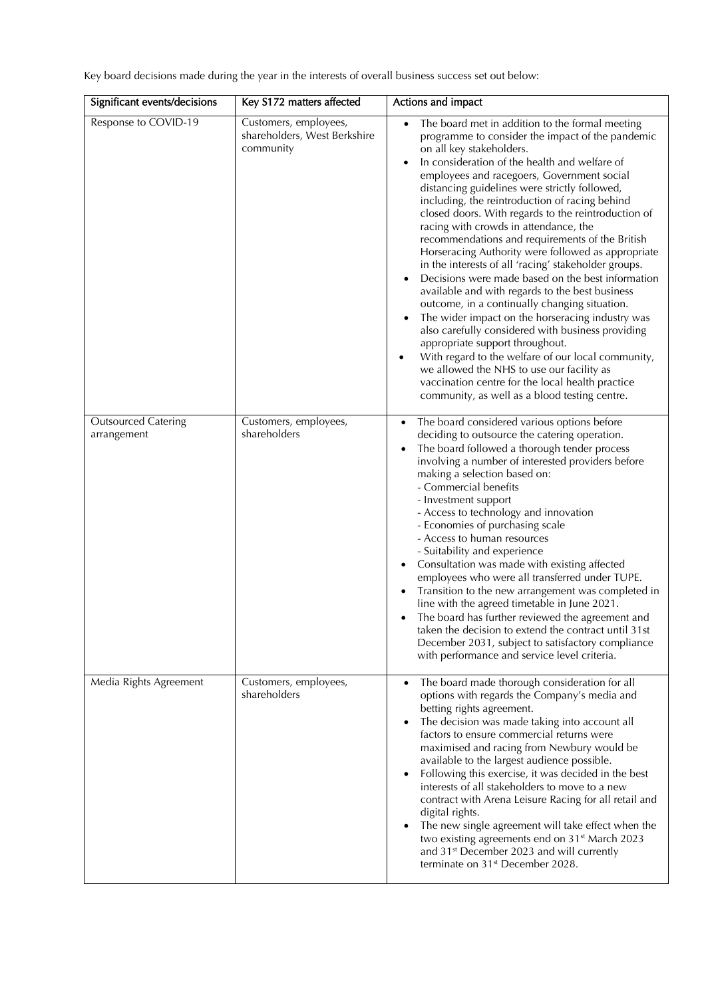Key board decisions made during the year in the interests of overall business success set out below:

| Significant events/decisions              | Key S172 matters affected                                          | Actions and impact                                                                                                                                                                                                                                                                                                                                                                                                                                                                                                                                                                                                                                                                                                                                                                                                                                                                                                                                                                                                                                                                                                                                     |
|-------------------------------------------|--------------------------------------------------------------------|--------------------------------------------------------------------------------------------------------------------------------------------------------------------------------------------------------------------------------------------------------------------------------------------------------------------------------------------------------------------------------------------------------------------------------------------------------------------------------------------------------------------------------------------------------------------------------------------------------------------------------------------------------------------------------------------------------------------------------------------------------------------------------------------------------------------------------------------------------------------------------------------------------------------------------------------------------------------------------------------------------------------------------------------------------------------------------------------------------------------------------------------------------|
| Response to COVID-19                      | Customers, employees,<br>shareholders, West Berkshire<br>community | The board met in addition to the formal meeting<br>$\bullet$<br>programme to consider the impact of the pandemic<br>on all key stakeholders.<br>In consideration of the health and welfare of<br>employees and racegoers, Government social<br>distancing guidelines were strictly followed,<br>including, the reintroduction of racing behind<br>closed doors. With regards to the reintroduction of<br>racing with crowds in attendance, the<br>recommendations and requirements of the British<br>Horseracing Authority were followed as appropriate<br>in the interests of all 'racing' stakeholder groups.<br>Decisions were made based on the best information<br>$\bullet$<br>available and with regards to the best business<br>outcome, in a continually changing situation.<br>The wider impact on the horseracing industry was<br>also carefully considered with business providing<br>appropriate support throughout.<br>With regard to the welfare of our local community,<br>$\bullet$<br>we allowed the NHS to use our facility as<br>vaccination centre for the local health practice<br>community, as well as a blood testing centre. |
| <b>Outsourced Catering</b><br>arrangement | Customers, employees,<br>shareholders                              | The board considered various options before<br>$\bullet$<br>deciding to outsource the catering operation.<br>The board followed a thorough tender process<br>$\bullet$<br>involving a number of interested providers before<br>making a selection based on:<br>- Commercial benefits<br>- Investment support<br>- Access to technology and innovation<br>- Economies of purchasing scale<br>- Access to human resources<br>- Suitability and experience<br>Consultation was made with existing affected<br>employees who were all transferred under TUPE.<br>Transition to the new arrangement was completed in<br>line with the agreed timetable in June 2021.<br>The board has further reviewed the agreement and<br>taken the decision to extend the contract until 31st<br>December 2031, subject to satisfactory compliance<br>with performance and service level criteria.                                                                                                                                                                                                                                                                       |
| Media Rights Agreement                    | Customers, employees,<br>shareholders                              | The board made thorough consideration for all<br>$\bullet$<br>options with regards the Company's media and<br>betting rights agreement.<br>The decision was made taking into account all<br>factors to ensure commercial returns were<br>maximised and racing from Newbury would be<br>available to the largest audience possible.<br>Following this exercise, it was decided in the best<br>interests of all stakeholders to move to a new<br>contract with Arena Leisure Racing for all retail and<br>digital rights.<br>The new single agreement will take effect when the<br>two existing agreements end on 31 <sup>st</sup> March 2023<br>and 31 <sup>st</sup> December 2023 and will currently<br>terminate on 31 <sup>st</sup> December 2028.                                                                                                                                                                                                                                                                                                                                                                                                   |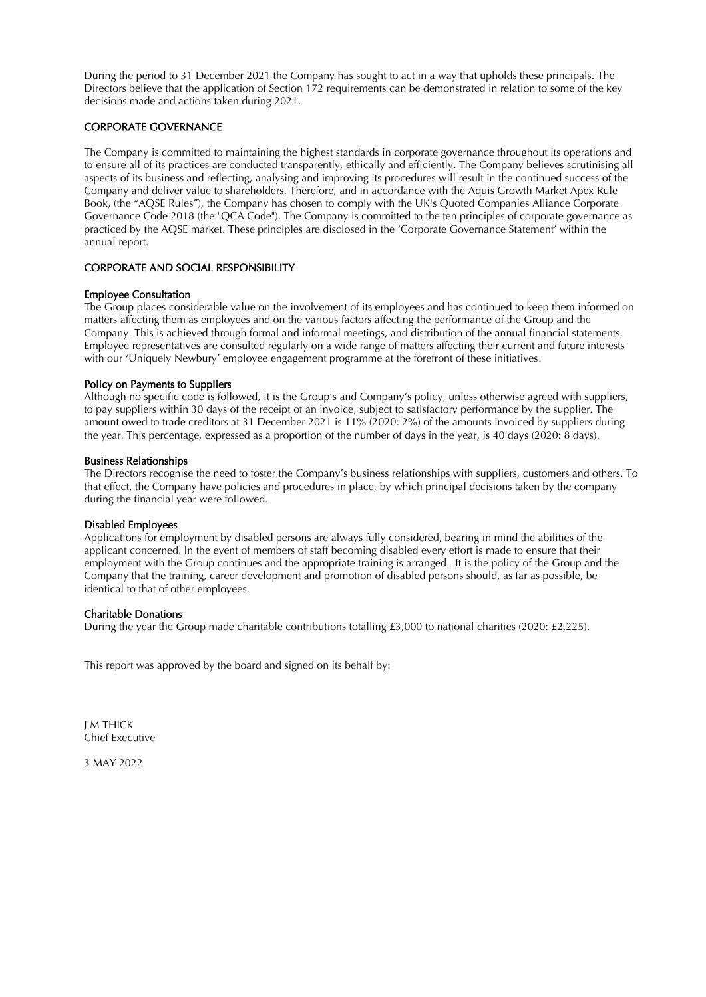During the period to 31 December 2021 the Company has sought to act in a way that upholds these principals. The Directors believe that the application of Section 172 requirements can be demonstrated in relation to some of the key decisions made and actions taken during 2021.

### CORPORATE GOVERNANCE

The Company is committed to maintaining the highest standards in corporate governance throughout its operations and to ensure all of its practices are conducted transparently, ethically and efficiently. The Company believes scrutinising all aspects of its business and reflecting, analysing and improving its procedures will result in the continued success of the Company and deliver value to shareholders. Therefore, and in accordance with the Aquis Growth Market Apex Rule Book, (the "AQSE Rules"), the Company has chosen to comply with the UK's Quoted Companies Alliance Corporate Governance Code 2018 (the "QCA Code"). The Company is committed to the ten principles of corporate governance as practiced by the AQSE market. These principles are disclosed in the 'Corporate Governance Statement' within the annual report.

# CORPORATE AND SOCIAL RESPONSIBILITY

### Employee Consultation

The Group places considerable value on the involvement of its employees and has continued to keep them informed on matters affecting them as employees and on the various factors affecting the performance of the Group and the Company. This is achieved through formal and informal meetings, and distribution of the annual financial statements. Employee representatives are consulted regularly on a wide range of matters affecting their current and future interests with our 'Uniquely Newbury' employee engagement programme at the forefront of these initiatives.

### Policy on Payments to Suppliers

Although no specific code is followed, it is the Group's and Company's policy, unless otherwise agreed with suppliers, to pay suppliers within 30 days of the receipt of an invoice, subject to satisfactory performance by the supplier. The amount owed to trade creditors at 31 December 2021 is 11% (2020: 2%) of the amounts invoiced by suppliers during the year. This percentage, expressed as a proportion of the number of days in the year, is 40 days (2020: 8 days).

### Business Relationships

The Directors recognise the need to foster the Company's business relationships with suppliers, customers and others. To that effect, the Company have policies and procedures in place, by which principal decisions taken by the company during the financial year were followed.

# Disabled Employees

Applications for employment by disabled persons are always fully considered, bearing in mind the abilities of the applicant concerned. In the event of members of staff becoming disabled every effort is made to ensure that their employment with the Group continues and the appropriate training is arranged. It is the policy of the Group and the Company that the training, career development and promotion of disabled persons should, as far as possible, be identical to that of other employees.

### Charitable Donations

During the year the Group made charitable contributions totalling £3,000 to national charities (2020: £2,225).

This report was approved by the board and signed on its behalf by:

J M THICK Chief Executive

3 MAY 2022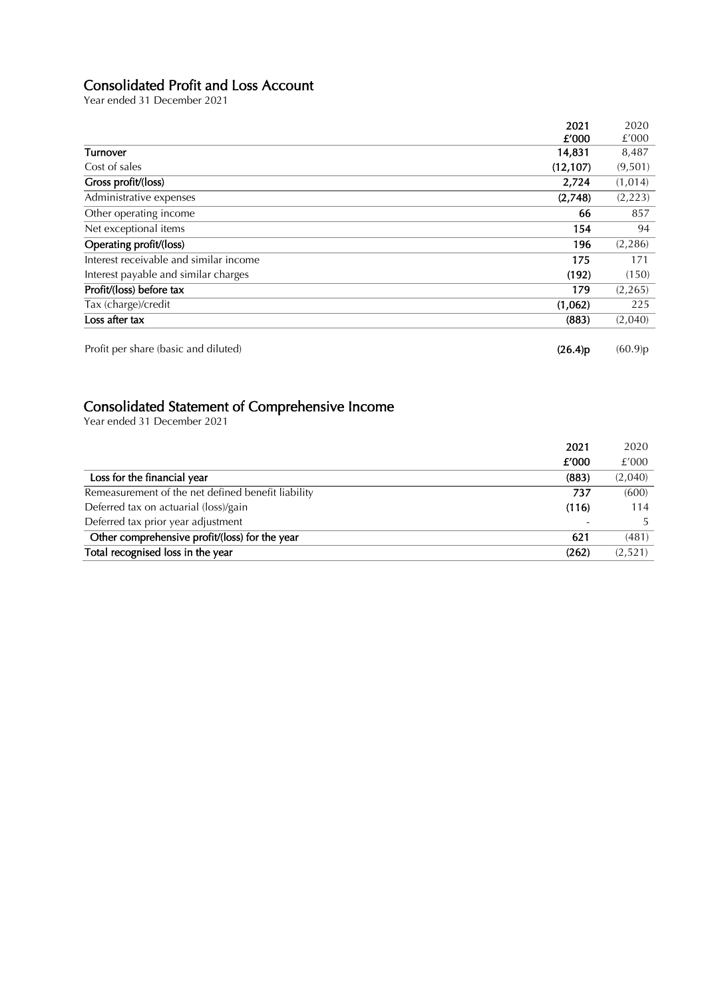# Consolidated Profit and Loss Account

Year ended 31 December 2021

|                                        | 2021      | 2020     |
|----------------------------------------|-----------|----------|
|                                        | f'000     | £'000    |
| Turnover                               | 14,831    | 8,487    |
| Cost of sales                          | (12, 107) | (9,501)  |
| Gross profit/(loss)                    | 2,724     | (1,014)  |
| Administrative expenses                | (2,748)   | (2,223)  |
| Other operating income                 | 66        | 857      |
| Net exceptional items                  | 154       | 94       |
| Operating profit/(loss)                | 196       | (2,286)  |
| Interest receivable and similar income | 175       | 171      |
| Interest payable and similar charges   | (192)     | (150)    |
| Profit/(loss) before tax               | 179       | (2, 265) |
| Tax (charge)/credit                    | (1,062)   | 225      |
| Loss after tax                         | (883)     | (2,040)  |
| Profit per share (basic and diluted)   | (26.4)p   | (60.9)p  |

# Consolidated Statement of Comprehensive Income

Year ended 31 December 2021

|                                                    | 2021  | 2020    |
|----------------------------------------------------|-------|---------|
|                                                    | £'000 | £'000   |
| Loss for the financial year                        | (883) | (2,040) |
| Remeasurement of the net defined benefit liability | 737   | (600)   |
| Deferred tax on actuarial (loss)/gain              | (116) | 114     |
| Deferred tax prior year adjustment                 |       | .5.     |
| Other comprehensive profit/(loss) for the year     | 621   | (481)   |
| Total recognised loss in the year                  | (262) | (2,521) |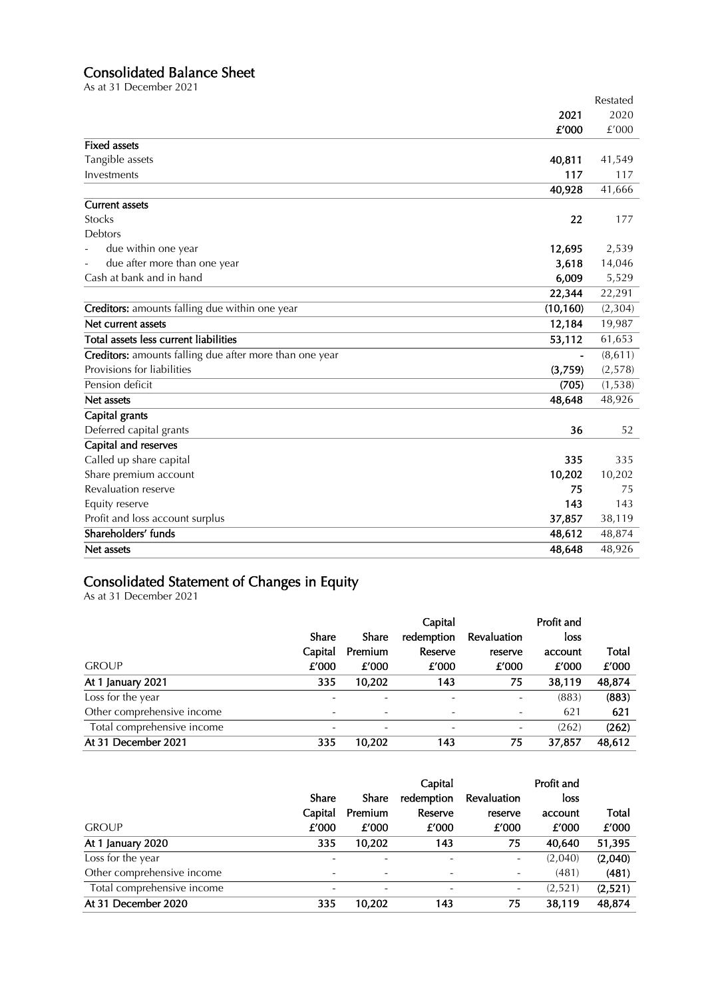# Consolidated Balance Sheet

As at 31 December 2021

|                                                         |                | Restated |
|---------------------------------------------------------|----------------|----------|
|                                                         | 2021           | 2020     |
|                                                         | £'000          | £'000    |
| <b>Fixed assets</b>                                     |                |          |
| Tangible assets                                         | 40,811         | 41,549   |
| Investments                                             | 117            | 117      |
|                                                         | 40,928         | 41,666   |
| <b>Current assets</b>                                   |                |          |
| <b>Stocks</b>                                           | 22             | 177      |
| <b>Debtors</b>                                          |                |          |
| due within one year                                     | 12,695         | 2,539    |
| due after more than one year                            | 3,618          | 14,046   |
| Cash at bank and in hand                                | 6,009          | 5,529    |
|                                                         | 22,344         | 22,291   |
| Creditors: amounts falling due within one year          | (10, 160)      | (2, 304) |
| Net current assets                                      | 12,184         | 19,987   |
| Total assets less current liabilities                   | 53,112         | 61,653   |
| Creditors: amounts falling due after more than one year | $\blacksquare$ | (8,611)  |
| Provisions for liabilities                              | (3,759)        | (2,578)  |
| Pension deficit                                         | (705)          | (1, 538) |
| Net assets                                              | 48,648         | 48,926   |
| Capital grants                                          |                |          |
| Deferred capital grants                                 | 36             | 52       |
| Capital and reserves                                    |                |          |
| Called up share capital                                 | 335            | 335      |
| Share premium account                                   | 10,202         | 10,202   |
| Revaluation reserve                                     | 75             | 75       |
| Equity reserve                                          | 143            | 143      |
| Profit and loss account surplus                         | 37,857         | 38,119   |
| Shareholders' funds                                     | 48,612         | 48,874   |
| Net assets                                              | 48,648         | 48,926   |

# Consolidated Statement of Changes in Equity

As at 31 December 2021

|                            |         |         | Capital                  |             | Profit and |        |
|----------------------------|---------|---------|--------------------------|-------------|------------|--------|
|                            | Share   | Share   | redemption               | Revaluation | loss       |        |
|                            | Capital | Premium | Reserve                  | reserve     | account    | Total  |
| <b>GROUP</b>               | £'000   | £'000   | £'000                    | £'000       | £'000      | £'000  |
| At 1 January 2021          | 335     | 10,202  | 143                      | 75          | 38,119     | 48,874 |
| Loss for the year          |         |         | $\overline{\phantom{0}}$ |             | (883)      | (883)  |
| Other comprehensive income |         |         |                          |             | 621        | 621    |
| Total comprehensive income |         |         |                          |             | (262)      | (262)  |
| At 31 December 2021        | 335     | 10,202  | 143                      | 75          | 37,857     | 48,612 |

|                            |         |                          | Capital    |             | Profit and |         |
|----------------------------|---------|--------------------------|------------|-------------|------------|---------|
|                            | Share   | Share                    | redemption | Revaluation | loss       |         |
|                            | Capital | Premium                  | Reserve    | reserve     | account    | Total   |
| <b>GROUP</b>               | £'000   | £'000                    | £'000      | £'000       | £'000      | £'000   |
| At 1 January 2020          | 335     | 10,202                   | 143        | 75          | 40,640     | 51,395  |
| Loss for the year          |         | $\overline{\phantom{0}}$ |            | Ξ.          | (2,040)    | (2,040) |
| Other comprehensive income |         |                          |            |             | (481)      | (481)   |
| Total comprehensive income |         |                          |            |             | (2,521)    | (2,521) |
| At 31 December 2020        | 335     | 10,202                   | 143        | 75          | 38.119     | 48,874  |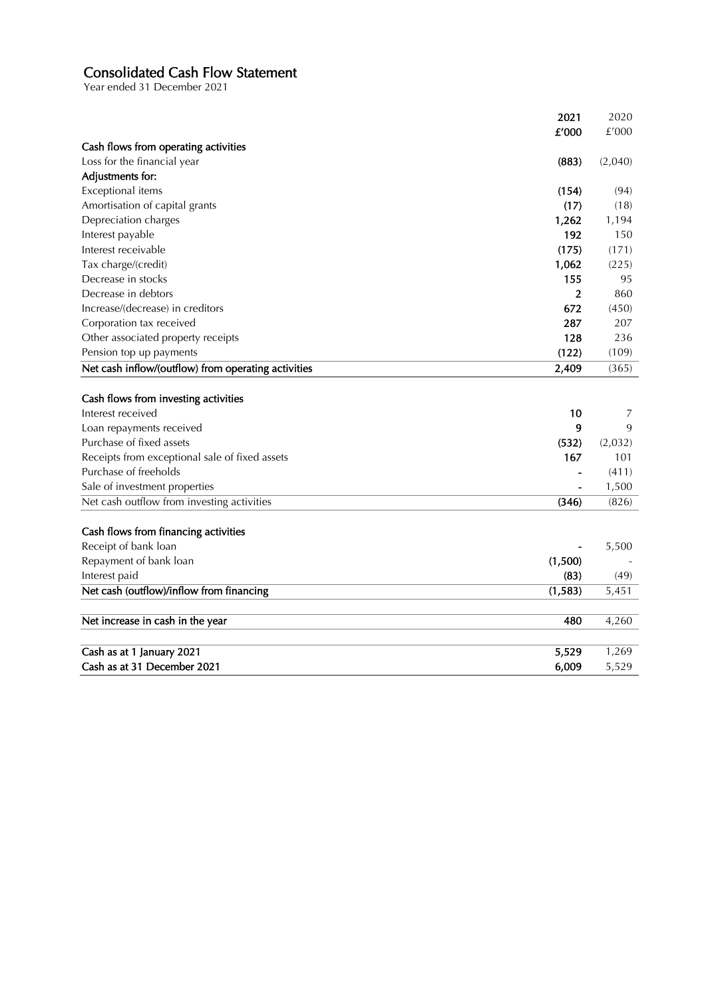# Consolidated Cash Flow Statement

Year ended 31 December 2021

| £'000<br>£'000<br>Cash flows from operating activities<br>Loss for the financial year<br>(883)<br>(2,040)<br>Adjustments for:<br>Exceptional items<br>(154)<br>(94)<br>Amortisation of capital grants<br>(17)<br>(18)<br>Depreciation charges<br>1,262<br>1,194<br>Interest payable<br>192<br>150<br>Interest receivable<br>(175)<br>(171)<br>Tax charge/(credit)<br>1,062<br>(225)<br>Decrease in stocks<br>155<br>95<br>Decrease in debtors<br>$\overline{2}$<br>860<br>Increase/(decrease) in creditors<br>672<br>(450)<br>Corporation tax received<br>287<br>207<br>Other associated property receipts<br>128<br>236<br>Pension top up payments<br>(122)<br>(109)<br>Net cash inflow/(outflow) from operating activities<br>2,409<br>(365)<br>Cash flows from investing activities<br>Interest received<br>10<br>7<br>Loan repayments received<br>9<br>9<br>Purchase of fixed assets<br>(532)<br>(2,032)<br>Receipts from exceptional sale of fixed assets<br>167<br>101<br>Purchase of freeholds<br>(411)<br>Sale of investment properties<br>1,500<br>Net cash outflow from investing activities<br>(826)<br>(346)<br>Cash flows from financing activities<br>Receipt of bank loan<br>5,500<br>(1,500)<br>Repayment of bank loan<br>(83)<br>Interest paid<br>(49)<br>Net cash (outflow)/inflow from financing<br>(1,583)<br>5,451<br>Net increase in cash in the year<br>480<br>4,260<br>Cash as at 1 January 2021<br>5,529<br>1,269<br>Cash as at 31 December 2021<br>6,009<br>5,529 | 2021 | 2020 |
|---------------------------------------------------------------------------------------------------------------------------------------------------------------------------------------------------------------------------------------------------------------------------------------------------------------------------------------------------------------------------------------------------------------------------------------------------------------------------------------------------------------------------------------------------------------------------------------------------------------------------------------------------------------------------------------------------------------------------------------------------------------------------------------------------------------------------------------------------------------------------------------------------------------------------------------------------------------------------------------------------------------------------------------------------------------------------------------------------------------------------------------------------------------------------------------------------------------------------------------------------------------------------------------------------------------------------------------------------------------------------------------------------------------------------------------------------------------------------------------------|------|------|
|                                                                                                                                                                                                                                                                                                                                                                                                                                                                                                                                                                                                                                                                                                                                                                                                                                                                                                                                                                                                                                                                                                                                                                                                                                                                                                                                                                                                                                                                                             |      |      |
|                                                                                                                                                                                                                                                                                                                                                                                                                                                                                                                                                                                                                                                                                                                                                                                                                                                                                                                                                                                                                                                                                                                                                                                                                                                                                                                                                                                                                                                                                             |      |      |
|                                                                                                                                                                                                                                                                                                                                                                                                                                                                                                                                                                                                                                                                                                                                                                                                                                                                                                                                                                                                                                                                                                                                                                                                                                                                                                                                                                                                                                                                                             |      |      |
|                                                                                                                                                                                                                                                                                                                                                                                                                                                                                                                                                                                                                                                                                                                                                                                                                                                                                                                                                                                                                                                                                                                                                                                                                                                                                                                                                                                                                                                                                             |      |      |
|                                                                                                                                                                                                                                                                                                                                                                                                                                                                                                                                                                                                                                                                                                                                                                                                                                                                                                                                                                                                                                                                                                                                                                                                                                                                                                                                                                                                                                                                                             |      |      |
|                                                                                                                                                                                                                                                                                                                                                                                                                                                                                                                                                                                                                                                                                                                                                                                                                                                                                                                                                                                                                                                                                                                                                                                                                                                                                                                                                                                                                                                                                             |      |      |
|                                                                                                                                                                                                                                                                                                                                                                                                                                                                                                                                                                                                                                                                                                                                                                                                                                                                                                                                                                                                                                                                                                                                                                                                                                                                                                                                                                                                                                                                                             |      |      |
|                                                                                                                                                                                                                                                                                                                                                                                                                                                                                                                                                                                                                                                                                                                                                                                                                                                                                                                                                                                                                                                                                                                                                                                                                                                                                                                                                                                                                                                                                             |      |      |
|                                                                                                                                                                                                                                                                                                                                                                                                                                                                                                                                                                                                                                                                                                                                                                                                                                                                                                                                                                                                                                                                                                                                                                                                                                                                                                                                                                                                                                                                                             |      |      |
|                                                                                                                                                                                                                                                                                                                                                                                                                                                                                                                                                                                                                                                                                                                                                                                                                                                                                                                                                                                                                                                                                                                                                                                                                                                                                                                                                                                                                                                                                             |      |      |
|                                                                                                                                                                                                                                                                                                                                                                                                                                                                                                                                                                                                                                                                                                                                                                                                                                                                                                                                                                                                                                                                                                                                                                                                                                                                                                                                                                                                                                                                                             |      |      |
|                                                                                                                                                                                                                                                                                                                                                                                                                                                                                                                                                                                                                                                                                                                                                                                                                                                                                                                                                                                                                                                                                                                                                                                                                                                                                                                                                                                                                                                                                             |      |      |
|                                                                                                                                                                                                                                                                                                                                                                                                                                                                                                                                                                                                                                                                                                                                                                                                                                                                                                                                                                                                                                                                                                                                                                                                                                                                                                                                                                                                                                                                                             |      |      |
|                                                                                                                                                                                                                                                                                                                                                                                                                                                                                                                                                                                                                                                                                                                                                                                                                                                                                                                                                                                                                                                                                                                                                                                                                                                                                                                                                                                                                                                                                             |      |      |
|                                                                                                                                                                                                                                                                                                                                                                                                                                                                                                                                                                                                                                                                                                                                                                                                                                                                                                                                                                                                                                                                                                                                                                                                                                                                                                                                                                                                                                                                                             |      |      |
|                                                                                                                                                                                                                                                                                                                                                                                                                                                                                                                                                                                                                                                                                                                                                                                                                                                                                                                                                                                                                                                                                                                                                                                                                                                                                                                                                                                                                                                                                             |      |      |
|                                                                                                                                                                                                                                                                                                                                                                                                                                                                                                                                                                                                                                                                                                                                                                                                                                                                                                                                                                                                                                                                                                                                                                                                                                                                                                                                                                                                                                                                                             |      |      |
|                                                                                                                                                                                                                                                                                                                                                                                                                                                                                                                                                                                                                                                                                                                                                                                                                                                                                                                                                                                                                                                                                                                                                                                                                                                                                                                                                                                                                                                                                             |      |      |
|                                                                                                                                                                                                                                                                                                                                                                                                                                                                                                                                                                                                                                                                                                                                                                                                                                                                                                                                                                                                                                                                                                                                                                                                                                                                                                                                                                                                                                                                                             |      |      |
|                                                                                                                                                                                                                                                                                                                                                                                                                                                                                                                                                                                                                                                                                                                                                                                                                                                                                                                                                                                                                                                                                                                                                                                                                                                                                                                                                                                                                                                                                             |      |      |
|                                                                                                                                                                                                                                                                                                                                                                                                                                                                                                                                                                                                                                                                                                                                                                                                                                                                                                                                                                                                                                                                                                                                                                                                                                                                                                                                                                                                                                                                                             |      |      |
|                                                                                                                                                                                                                                                                                                                                                                                                                                                                                                                                                                                                                                                                                                                                                                                                                                                                                                                                                                                                                                                                                                                                                                                                                                                                                                                                                                                                                                                                                             |      |      |
|                                                                                                                                                                                                                                                                                                                                                                                                                                                                                                                                                                                                                                                                                                                                                                                                                                                                                                                                                                                                                                                                                                                                                                                                                                                                                                                                                                                                                                                                                             |      |      |
|                                                                                                                                                                                                                                                                                                                                                                                                                                                                                                                                                                                                                                                                                                                                                                                                                                                                                                                                                                                                                                                                                                                                                                                                                                                                                                                                                                                                                                                                                             |      |      |
|                                                                                                                                                                                                                                                                                                                                                                                                                                                                                                                                                                                                                                                                                                                                                                                                                                                                                                                                                                                                                                                                                                                                                                                                                                                                                                                                                                                                                                                                                             |      |      |
|                                                                                                                                                                                                                                                                                                                                                                                                                                                                                                                                                                                                                                                                                                                                                                                                                                                                                                                                                                                                                                                                                                                                                                                                                                                                                                                                                                                                                                                                                             |      |      |
|                                                                                                                                                                                                                                                                                                                                                                                                                                                                                                                                                                                                                                                                                                                                                                                                                                                                                                                                                                                                                                                                                                                                                                                                                                                                                                                                                                                                                                                                                             |      |      |
|                                                                                                                                                                                                                                                                                                                                                                                                                                                                                                                                                                                                                                                                                                                                                                                                                                                                                                                                                                                                                                                                                                                                                                                                                                                                                                                                                                                                                                                                                             |      |      |
|                                                                                                                                                                                                                                                                                                                                                                                                                                                                                                                                                                                                                                                                                                                                                                                                                                                                                                                                                                                                                                                                                                                                                                                                                                                                                                                                                                                                                                                                                             |      |      |
|                                                                                                                                                                                                                                                                                                                                                                                                                                                                                                                                                                                                                                                                                                                                                                                                                                                                                                                                                                                                                                                                                                                                                                                                                                                                                                                                                                                                                                                                                             |      |      |
|                                                                                                                                                                                                                                                                                                                                                                                                                                                                                                                                                                                                                                                                                                                                                                                                                                                                                                                                                                                                                                                                                                                                                                                                                                                                                                                                                                                                                                                                                             |      |      |
|                                                                                                                                                                                                                                                                                                                                                                                                                                                                                                                                                                                                                                                                                                                                                                                                                                                                                                                                                                                                                                                                                                                                                                                                                                                                                                                                                                                                                                                                                             |      |      |
|                                                                                                                                                                                                                                                                                                                                                                                                                                                                                                                                                                                                                                                                                                                                                                                                                                                                                                                                                                                                                                                                                                                                                                                                                                                                                                                                                                                                                                                                                             |      |      |
|                                                                                                                                                                                                                                                                                                                                                                                                                                                                                                                                                                                                                                                                                                                                                                                                                                                                                                                                                                                                                                                                                                                                                                                                                                                                                                                                                                                                                                                                                             |      |      |
|                                                                                                                                                                                                                                                                                                                                                                                                                                                                                                                                                                                                                                                                                                                                                                                                                                                                                                                                                                                                                                                                                                                                                                                                                                                                                                                                                                                                                                                                                             |      |      |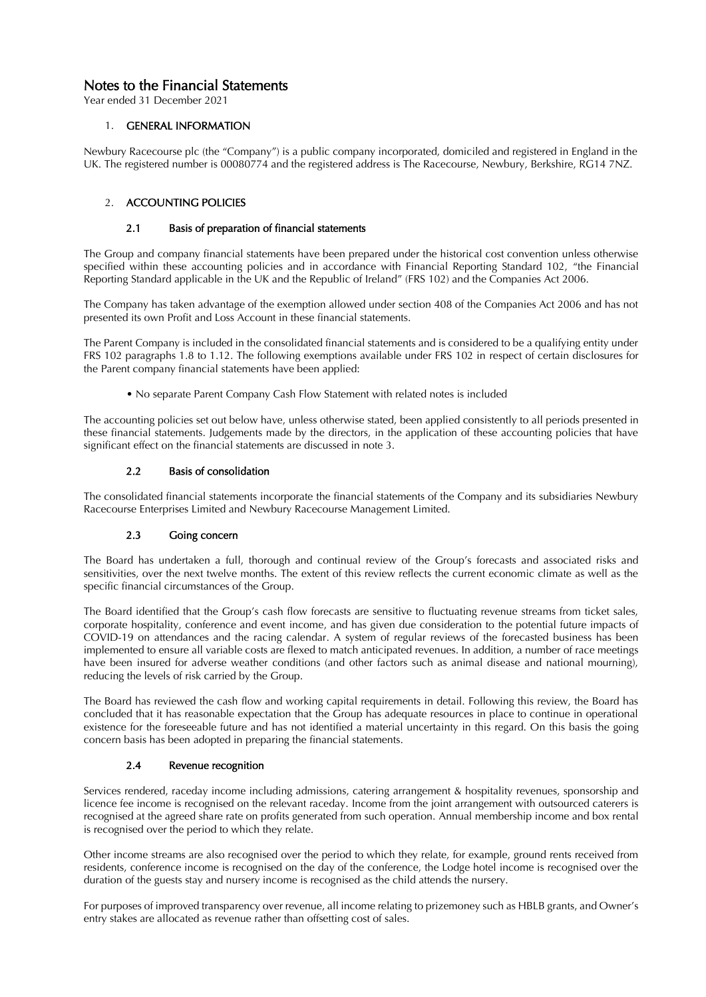# Notes to the Financial Statements

Year ended 31 December 2021

# 1. GENERAL INFORMATION

Newbury Racecourse plc (the "Company") is a public company incorporated, domiciled and registered in England in the UK. The registered number is 00080774 and the registered address is The Racecourse, Newbury, Berkshire, RG14 7NZ.

# 2. ACCOUNTING POLICIES

### 2.1 Basis of preparation of financial statements

The Group and company financial statements have been prepared under the historical cost convention unless otherwise specified within these accounting policies and in accordance with Financial Reporting Standard 102, "the Financial Reporting Standard applicable in the UK and the Republic of Ireland" (FRS 102) and the Companies Act 2006.

The Company has taken advantage of the exemption allowed under section 408 of the Companies Act 2006 and has not presented its own Profit and Loss Account in these financial statements.

The Parent Company is included in the consolidated financial statements and is considered to be a qualifying entity under FRS 102 paragraphs 1.8 to 1.12. The following exemptions available under FRS 102 in respect of certain disclosures for the Parent company financial statements have been applied:

• No separate Parent Company Cash Flow Statement with related notes is included

The accounting policies set out below have, unless otherwise stated, been applied consistently to all periods presented in these financial statements. Judgements made by the directors, in the application of these accounting policies that have significant effect on the financial statements are discussed in note 3.

# 2.2 Basis of consolidation

The consolidated financial statements incorporate the financial statements of the Company and its subsidiaries Newbury Racecourse Enterprises Limited and Newbury Racecourse Management Limited.

# 2.3 Going concern

The Board has undertaken a full, thorough and continual review of the Group's forecasts and associated risks and sensitivities, over the next twelve months. The extent of this review reflects the current economic climate as well as the specific financial circumstances of the Group.

The Board identified that the Group's cash flow forecasts are sensitive to fluctuating revenue streams from ticket sales, corporate hospitality, conference and event income, and has given due consideration to the potential future impacts of COVID-19 on attendances and the racing calendar. A system of regular reviews of the forecasted business has been implemented to ensure all variable costs are flexed to match anticipated revenues. In addition, a number of race meetings have been insured for adverse weather conditions (and other factors such as animal disease and national mourning), reducing the levels of risk carried by the Group.

The Board has reviewed the cash flow and working capital requirements in detail. Following this review, the Board has concluded that it has reasonable expectation that the Group has adequate resources in place to continue in operational existence for the foreseeable future and has not identified a material uncertainty in this regard. On this basis the going concern basis has been adopted in preparing the financial statements.

# 2.4 Revenue recognition

Services rendered, raceday income including admissions, catering arrangement & hospitality revenues, sponsorship and licence fee income is recognised on the relevant raceday. Income from the joint arrangement with outsourced caterers is recognised at the agreed share rate on profits generated from such operation. Annual membership income and box rental is recognised over the period to which they relate.

Other income streams are also recognised over the period to which they relate, for example, ground rents received from residents, conference income is recognised on the day of the conference, the Lodge hotel income is recognised over the duration of the guests stay and nursery income is recognised as the child attends the nursery.

For purposes of improved transparency over revenue, all income relating to prizemoney such as HBLB grants, and Owner's entry stakes are allocated as revenue rather than offsetting cost of sales.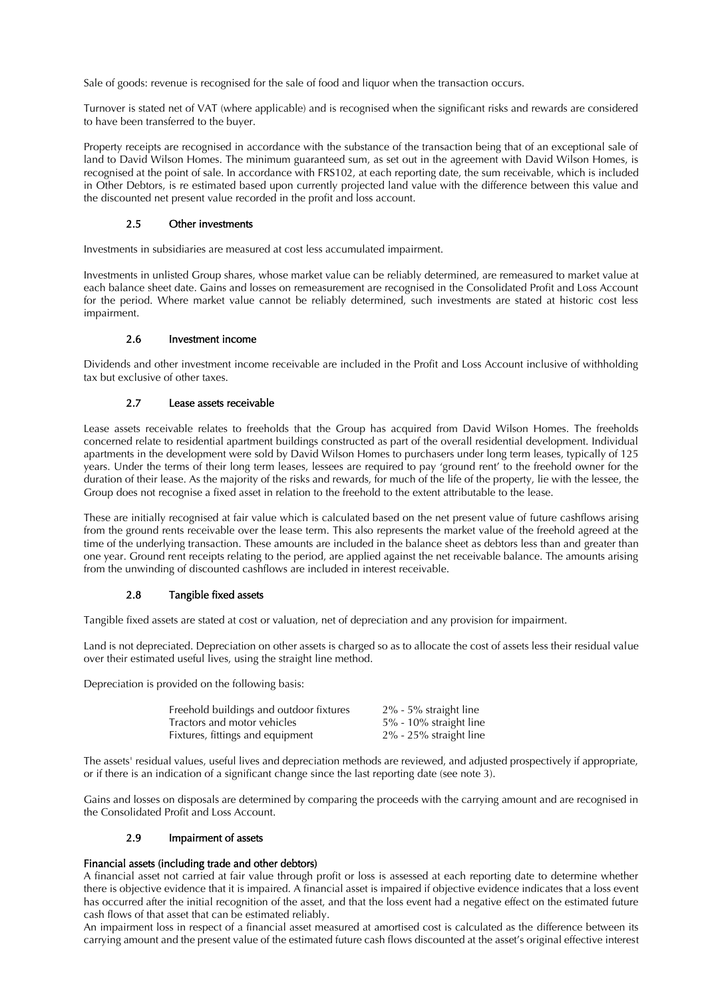Sale of goods: revenue is recognised for the sale of food and liquor when the transaction occurs.

Turnover is stated net of VAT (where applicable) and is recognised when the significant risks and rewards are considered to have been transferred to the buyer.

Property receipts are recognised in accordance with the substance of the transaction being that of an exceptional sale of land to David Wilson Homes. The minimum guaranteed sum, as set out in the agreement with David Wilson Homes, is recognised at the point of sale. In accordance with FRS102, at each reporting date, the sum receivable, which is included in Other Debtors, is re estimated based upon currently projected land value with the difference between this value and the discounted net present value recorded in the profit and loss account.

### 2.5 Other investments

Investments in subsidiaries are measured at cost less accumulated impairment.

Investments in unlisted Group shares, whose market value can be reliably determined, are remeasured to market value at each balance sheet date. Gains and losses on remeasurement are recognised in the Consolidated Profit and Loss Account for the period. Where market value cannot be reliably determined, such investments are stated at historic cost less impairment.

### 2.6 Investment income

Dividends and other investment income receivable are included in the Profit and Loss Account inclusive of withholding tax but exclusive of other taxes.

# 2.7 Lease assets receivable

Lease assets receivable relates to freeholds that the Group has acquired from David Wilson Homes. The freeholds concerned relate to residential apartment buildings constructed as part of the overall residential development. Individual apartments in the development were sold by David Wilson Homes to purchasers under long term leases, typically of 125 years. Under the terms of their long term leases, lessees are required to pay 'ground rent' to the freehold owner for the duration of their lease. As the majority of the risks and rewards, for much of the life of the property, lie with the lessee, the Group does not recognise a fixed asset in relation to the freehold to the extent attributable to the lease.

These are initially recognised at fair value which is calculated based on the net present value of future cashflows arising from the ground rents receivable over the lease term. This also represents the market value of the freehold agreed at the time of the underlying transaction. These amounts are included in the balance sheet as debtors less than and greater than one year. Ground rent receipts relating to the period, are applied against the net receivable balance. The amounts arising from the unwinding of discounted cashflows are included in interest receivable.

# 2.8 Tangible fixed assets

Tangible fixed assets are stated at cost or valuation, net of depreciation and any provision for impairment.

Land is not depreciated. Depreciation on other assets is charged so as to allocate the cost of assets less their residual value over their estimated useful lives, using the straight line method.

Depreciation is provided on the following basis:

| Freehold buildings and outdoor fixtures | 2% - 5% straight line        |
|-----------------------------------------|------------------------------|
| Tractors and motor vehicles             | 5% - 10% straight line       |
| Fixtures, fittings and equipment        | $2\%$ - $25\%$ straight line |

The assets' residual values, useful lives and depreciation methods are reviewed, and adjusted prospectively if appropriate, or if there is an indication of a significant change since the last reporting date (see note 3).

Gains and losses on disposals are determined by comparing the proceeds with the carrying amount and are recognised in the Consolidated Profit and Loss Account.

### 2.9 Impairment of assets

### Financial assets (including trade and other debtors)

A financial asset not carried at fair value through profit or loss is assessed at each reporting date to determine whether there is objective evidence that it is impaired. A financial asset is impaired if objective evidence indicates that a loss event has occurred after the initial recognition of the asset, and that the loss event had a negative effect on the estimated future cash flows of that asset that can be estimated reliably.

An impairment loss in respect of a financial asset measured at amortised cost is calculated as the difference between its carrying amount and the present value of the estimated future cash flows discounted at the asset's original effective interest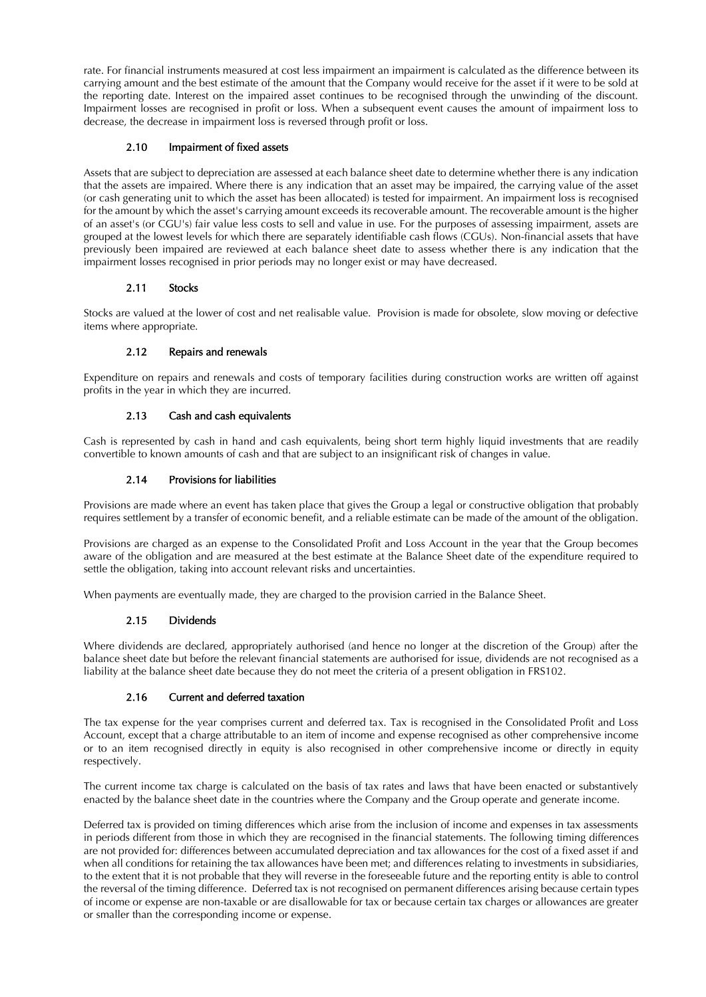rate. For financial instruments measured at cost less impairment an impairment is calculated as the difference between its carrying amount and the best estimate of the amount that the Company would receive for the asset if it were to be sold at the reporting date. Interest on the impaired asset continues to be recognised through the unwinding of the discount. Impairment losses are recognised in profit or loss. When a subsequent event causes the amount of impairment loss to decrease, the decrease in impairment loss is reversed through profit or loss.

# 2.10 Impairment of fixed assets

Assets that are subject to depreciation are assessed at each balance sheet date to determine whether there is any indication that the assets are impaired. Where there is any indication that an asset may be impaired, the carrying value of the asset (or cash generating unit to which the asset has been allocated) is tested for impairment. An impairment loss is recognised for the amount by which the asset's carrying amount exceeds its recoverable amount. The recoverable amount is the higher of an asset's (or CGU's) fair value less costs to sell and value in use. For the purposes of assessing impairment, assets are grouped at the lowest levels for which there are separately identifiable cash flows (CGUs). Non-financial assets that have previously been impaired are reviewed at each balance sheet date to assess whether there is any indication that the impairment losses recognised in prior periods may no longer exist or may have decreased.

# 2.11 Stocks

Stocks are valued at the lower of cost and net realisable value. Provision is made for obsolete, slow moving or defective items where appropriate.

# 2.12 Repairs and renewals

Expenditure on repairs and renewals and costs of temporary facilities during construction works are written off against profits in the year in which they are incurred.

# 2.13 Cash and cash equivalents

Cash is represented by cash in hand and cash equivalents, being short term highly liquid investments that are readily convertible to known amounts of cash and that are subject to an insignificant risk of changes in value.

# 2.14 Provisions for liabilities

Provisions are made where an event has taken place that gives the Group a legal or constructive obligation that probably requires settlement by a transfer of economic benefit, and a reliable estimate can be made of the amount of the obligation.

Provisions are charged as an expense to the Consolidated Profit and Loss Account in the year that the Group becomes aware of the obligation and are measured at the best estimate at the Balance Sheet date of the expenditure required to settle the obligation, taking into account relevant risks and uncertainties.

When payments are eventually made, they are charged to the provision carried in the Balance Sheet.

### 2.15 Dividends

Where dividends are declared, appropriately authorised (and hence no longer at the discretion of the Group) after the balance sheet date but before the relevant financial statements are authorised for issue, dividends are not recognised as a liability at the balance sheet date because they do not meet the criteria of a present obligation in FRS102.

### 2.16 Current and deferred taxation

The tax expense for the year comprises current and deferred tax. Tax is recognised in the Consolidated Profit and Loss Account, except that a charge attributable to an item of income and expense recognised as other comprehensive income or to an item recognised directly in equity is also recognised in other comprehensive income or directly in equity respectively.

The current income tax charge is calculated on the basis of tax rates and laws that have been enacted or substantively enacted by the balance sheet date in the countries where the Company and the Group operate and generate income.

Deferred tax is provided on timing differences which arise from the inclusion of income and expenses in tax assessments in periods different from those in which they are recognised in the financial statements. The following timing differences are not provided for: differences between accumulated depreciation and tax allowances for the cost of a fixed asset if and when all conditions for retaining the tax allowances have been met; and differences relating to investments in subsidiaries, to the extent that it is not probable that they will reverse in the foreseeable future and the reporting entity is able to control the reversal of the timing difference. Deferred tax is not recognised on permanent differences arising because certain types of income or expense are non-taxable or are disallowable for tax or because certain tax charges or allowances are greater or smaller than the corresponding income or expense.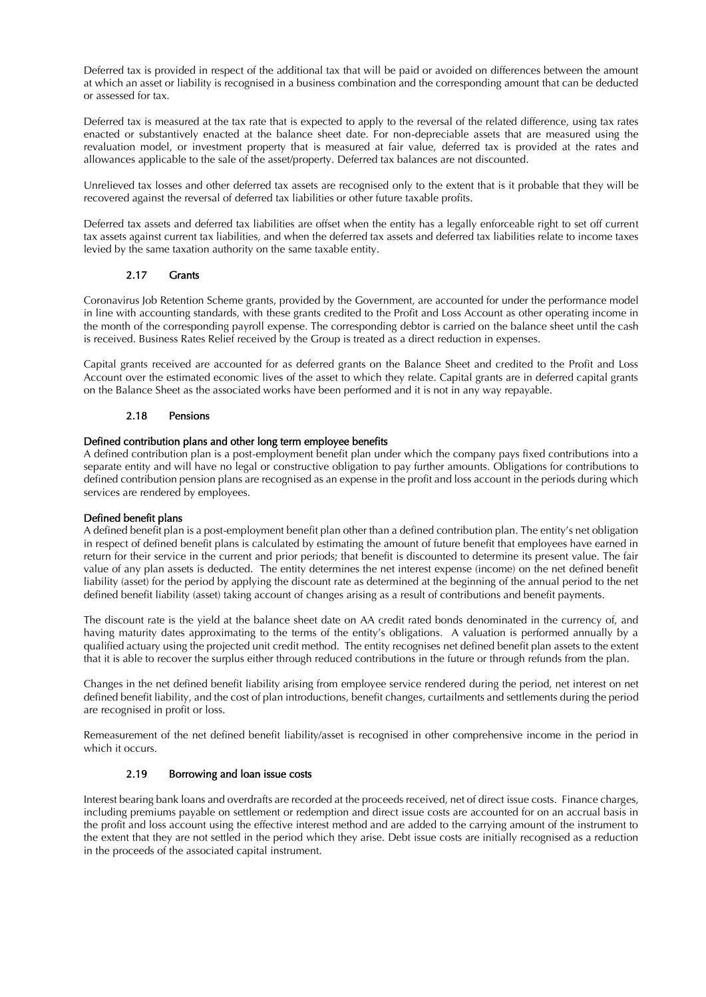Deferred tax is provided in respect of the additional tax that will be paid or avoided on differences between the amount at which an asset or liability is recognised in a business combination and the corresponding amount that can be deducted or assessed for tax.

Deferred tax is measured at the tax rate that is expected to apply to the reversal of the related difference, using tax rates enacted or substantively enacted at the balance sheet date. For non-depreciable assets that are measured using the revaluation model, or investment property that is measured at fair value, deferred tax is provided at the rates and allowances applicable to the sale of the asset/property. Deferred tax balances are not discounted.

Unrelieved tax losses and other deferred tax assets are recognised only to the extent that is it probable that they will be recovered against the reversal of deferred tax liabilities or other future taxable profits.

Deferred tax assets and deferred tax liabilities are offset when the entity has a legally enforceable right to set off current tax assets against current tax liabilities, and when the deferred tax assets and deferred tax liabilities relate to income taxes levied by the same taxation authority on the same taxable entity.

# 2.17 Grants

Coronavirus Job Retention Scheme grants, provided by the Government, are accounted for under the performance model in line with accounting standards, with these grants credited to the Profit and Loss Account as other operating income in the month of the corresponding payroll expense. The corresponding debtor is carried on the balance sheet until the cash is received. Business Rates Relief received by the Group is treated as a direct reduction in expenses.

Capital grants received are accounted for as deferred grants on the Balance Sheet and credited to the Profit and Loss Account over the estimated economic lives of the asset to which they relate. Capital grants are in deferred capital grants on the Balance Sheet as the associated works have been performed and it is not in any way repayable.

### 2.18 Pensions

### Defined contribution plans and other long term employee benefits

A defined contribution plan is a post-employment benefit plan under which the company pays fixed contributions into a separate entity and will have no legal or constructive obligation to pay further amounts. Obligations for contributions to defined contribution pension plans are recognised as an expense in the profit and loss account in the periods during which services are rendered by employees.

### Defined benefit plans

A defined benefit plan is a post-employment benefit plan other than a defined contribution plan. The entity's net obligation in respect of defined benefit plans is calculated by estimating the amount of future benefit that employees have earned in return for their service in the current and prior periods; that benefit is discounted to determine its present value. The fair value of any plan assets is deducted. The entity determines the net interest expense (income) on the net defined benefit liability (asset) for the period by applying the discount rate as determined at the beginning of the annual period to the net defined benefit liability (asset) taking account of changes arising as a result of contributions and benefit payments.

The discount rate is the yield at the balance sheet date on AA credit rated bonds denominated in the currency of, and having maturity dates approximating to the terms of the entity's obligations. A valuation is performed annually by a qualified actuary using the projected unit credit method. The entity recognises net defined benefit plan assets to the extent that it is able to recover the surplus either through reduced contributions in the future or through refunds from the plan.

Changes in the net defined benefit liability arising from employee service rendered during the period, net interest on net defined benefit liability, and the cost of plan introductions, benefit changes, curtailments and settlements during the period are recognised in profit or loss.

Remeasurement of the net defined benefit liability/asset is recognised in other comprehensive income in the period in which it occurs.

### 2.19 Borrowing and loan issue costs

Interest bearing bank loans and overdrafts are recorded at the proceeds received, net of direct issue costs. Finance charges, including premiums payable on settlement or redemption and direct issue costs are accounted for on an accrual basis in the profit and loss account using the effective interest method and are added to the carrying amount of the instrument to the extent that they are not settled in the period which they arise. Debt issue costs are initially recognised as a reduction in the proceeds of the associated capital instrument.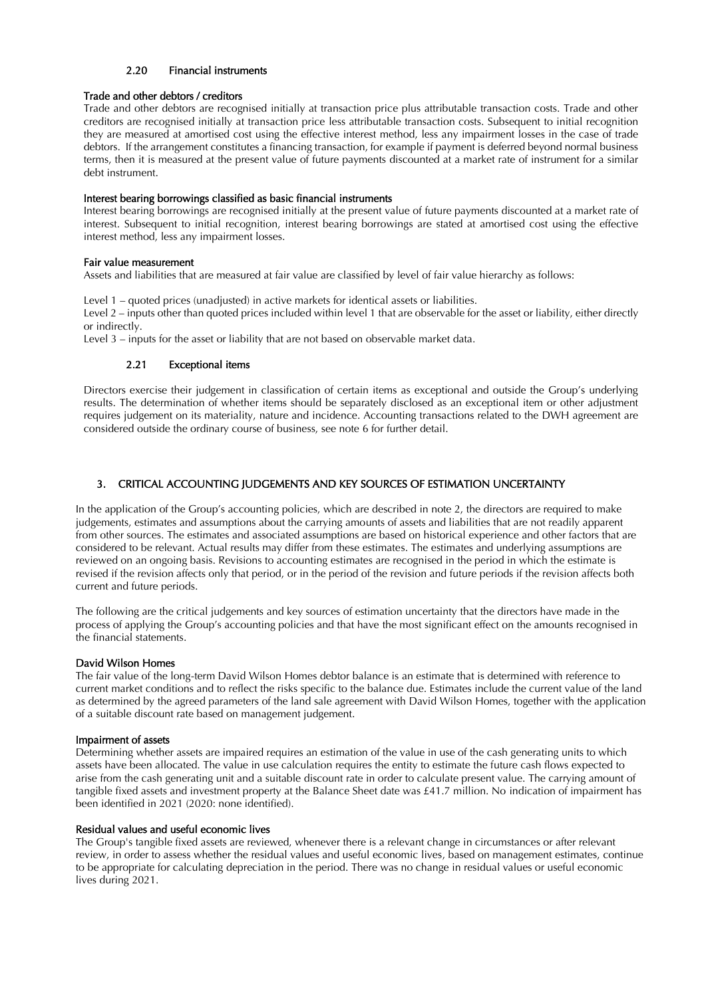# 2.20 Financial instruments

### Trade and other debtors / creditors

Trade and other debtors are recognised initially at transaction price plus attributable transaction costs. Trade and other creditors are recognised initially at transaction price less attributable transaction costs. Subsequent to initial recognition they are measured at amortised cost using the effective interest method, less any impairment losses in the case of trade debtors. If the arrangement constitutes a financing transaction, for example if payment is deferred beyond normal business terms, then it is measured at the present value of future payments discounted at a market rate of instrument for a similar debt instrument.

### Interest bearing borrowings classified as basic financial instruments

Interest bearing borrowings are recognised initially at the present value of future payments discounted at a market rate of interest. Subsequent to initial recognition, interest bearing borrowings are stated at amortised cost using the effective interest method, less any impairment losses.

### Fair value measurement

Assets and liabilities that are measured at fair value are classified by level of fair value hierarchy as follows:

Level 1 – quoted prices (unadjusted) in active markets for identical assets or liabilities. Level 2 – inputs other than quoted prices included within level 1 that are observable for the asset or liability, either directly or indirectly.

Level 3 – inputs for the asset or liability that are not based on observable market data.

### 2.21 Exceptional items

Directors exercise their judgement in classification of certain items as exceptional and outside the Group's underlying results. The determination of whether items should be separately disclosed as an exceptional item or other adjustment requires judgement on its materiality, nature and incidence. Accounting transactions related to the DWH agreement are considered outside the ordinary course of business, see note 6 for further detail.

# 3. CRITICAL ACCOUNTING JUDGEMENTS AND KEY SOURCES OF ESTIMATION UNCERTAINTY

In the application of the Group's accounting policies, which are described in note 2, the directors are required to make judgements, estimates and assumptions about the carrying amounts of assets and liabilities that are not readily apparent from other sources. The estimates and associated assumptions are based on historical experience and other factors that are considered to be relevant. Actual results may differ from these estimates. The estimates and underlying assumptions are reviewed on an ongoing basis. Revisions to accounting estimates are recognised in the period in which the estimate is revised if the revision affects only that period, or in the period of the revision and future periods if the revision affects both current and future periods.

The following are the critical judgements and key sources of estimation uncertainty that the directors have made in the process of applying the Group's accounting policies and that have the most significant effect on the amounts recognised in the financial statements.

### David Wilson Homes

The fair value of the long-term David Wilson Homes debtor balance is an estimate that is determined with reference to current market conditions and to reflect the risks specific to the balance due. Estimates include the current value of the land as determined by the agreed parameters of the land sale agreement with David Wilson Homes, together with the application of a suitable discount rate based on management judgement.

### Impairment of assets

Determining whether assets are impaired requires an estimation of the value in use of the cash generating units to which assets have been allocated. The value in use calculation requires the entity to estimate the future cash flows expected to arise from the cash generating unit and a suitable discount rate in order to calculate present value. The carrying amount of tangible fixed assets and investment property at the Balance Sheet date was £41.7 million. No indication of impairment has been identified in 2021 (2020: none identified).

### Residual values and useful economic lives

The Group's tangible fixed assets are reviewed, whenever there is a relevant change in circumstances or after relevant review, in order to assess whether the residual values and useful economic lives, based on management estimates, continue to be appropriate for calculating depreciation in the period. There was no change in residual values or useful economic lives during 2021.